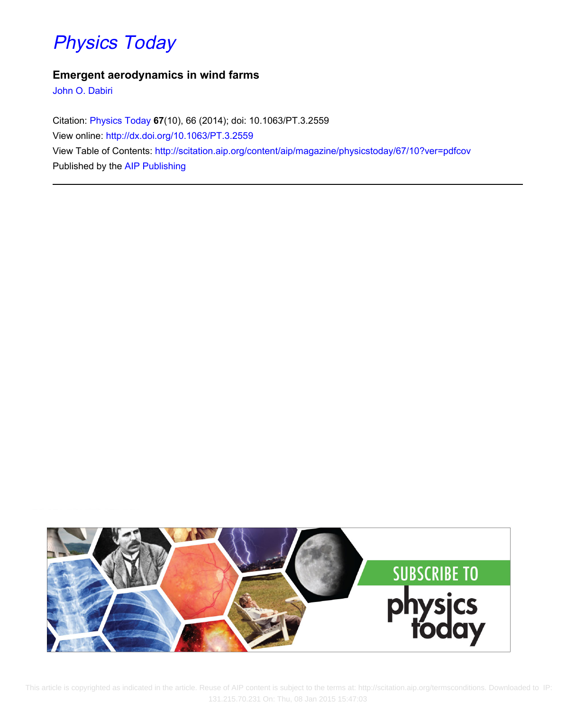## [Physics Today](http://scitation.aip.org/content/aip/magazine/physicstoday?ver=pdfcov)

### **Emergent aerodynamics in wind farms**

[John O. Dabiri](http://scitation.aip.org/search?value1=John+O.+Dabiri&option1=author)

Citation: [Physics Today](http://scitation.aip.org/content/aip/magazine/physicstoday?ver=pdfcov) **67**(10), 66 (2014); doi: 10.1063/PT.3.2559 View online: <http://dx.doi.org/10.1063/PT.3.2559> View Table of Contents: <http://scitation.aip.org/content/aip/magazine/physicstoday/67/10?ver=pdfcov> Published by the [AIP Publishing](http://scitation.aip.org/content/aip?ver=pdfcov)



 This article is copyrighted as indicated in the article. Reuse of AIP content is subject to the terms at: http://scitation.aip.org/termsconditions. Downloaded to IP: 131.215.70.231 On: Thu, 08 Jan 2015 15:47:03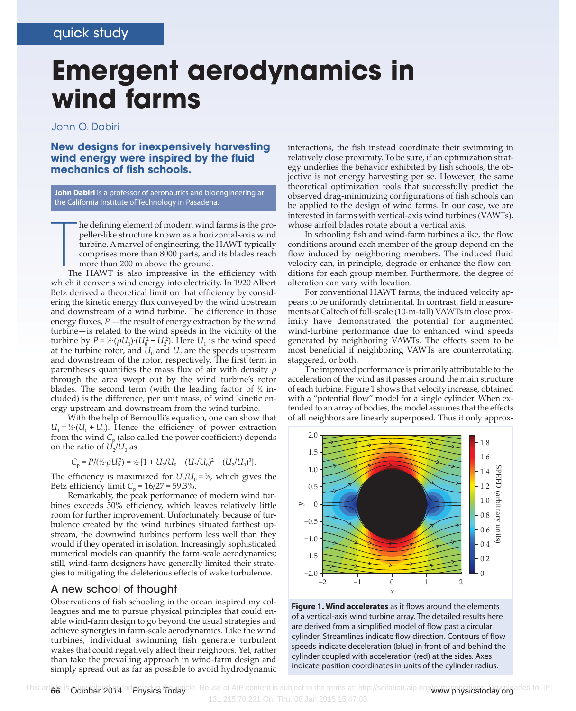# **Emergent aerodynamics in wind farms**

#### John O. Dabiri

**New designs for inexpensively harvesting wind energy were inspired by the fluid mechanics of fish schools.**

**John Dabiri** is a professor of aeronautics and bioengineering at the California Institute of Technology in Pasadena.

T he defining element of modern wind farms is the propeller-like structure known as a horizontal-axis wind turbine. A marvel of engineering, the HAWT typically comprises more than 8000 parts, and its blades reach more than 200 m above the ground.

The HAWT is also impressive in the efficiency with which it converts wind energy into electricity. In 1920 Albert Betz derived a theoretical limit on that efficiency by considering the kinetic energy flux conveyed by the wind upstream and downstream of a wind turbine. The difference in those energy fluxes,  $P$  —the result of energy extraction by the wind turbine—is related to the wind speeds in the vicinity of the turbine by  $P = \frac{1}{2} \cdot (\rho U_1) \cdot (U_0^2 - U_2^2)$ . Here  $U_1$  is the wind speed at the turbine rotor, and  $U_0$  and  $U_2$  are the speeds upstream and downstream of the rotor, respectively. The first term in parentheses quantifies the mass flux of air with density *ρ* through the area swept out by the wind turbine's rotor blades. The second term (with the leading factor of  $\%$  included) is the difference, per unit mass, of wind kinetic energy upstream and downstream from the wind turbine.

With the help of Bernoulli's equation, one can show that  $U_1 = \frac{1}{2} \cdot (U_0 + U_2)$ . Hence the efficiency of power extraction from the wind  $C_p$  (also called the power coefficient) depends on the ratio of  $U_2/U_0$  as

$$
C_p = P/(\frac{1}{2} \cdot \rho U_0^3) = \frac{1}{2} \cdot [1 + U_2/U_0 - (U_2/U_0)^2 - (U_2/U_0)^3].
$$

The efficiency is maximized for  $U_2/U_0 = \frac{1}{2}$ , which gives the Betz efficiency limit  $C_p = 16/27 = 59.3\%$ .

Remarkably, the peak performance of modern wind turbines exceeds 50% efficiency, which leaves relatively little room for further improvement. Unfortunately, because of turbulence created by the wind turbines situated farthest upstream, the downwind turbines perform less well than they would if they operated in isolation. Increasingly sophisticated numerical models can quantify the farm-scale aerodynamics; still, wind-farm designers have generally limited their strategies to mitigating the deleterious effects of wake turbulence.

#### A new school of thought

Observations of fish schooling in the ocean inspired my colleagues and me to pursue physical principles that could enable wind-farm design to go beyond the usual strategies and achieve synergies in farm-scale aerodynamics. Like the wind turbines, individual swimming fish generate turbulent wakes that could negatively affect their neighbors. Yet, rather than take the prevailing approach in wind-farm design and simply spread out as far as possible to avoid hydrodynamic

interactions, the fish instead coordinate their swimming in relatively close proximity. To be sure, if an optimization strategy underlies the behavior exhibited by fish schools, the objective is not energy harvesting per se. However, the same theoretical optimization tools that successfully predict the observed drag-minimizing configurations of fish schools can be applied to the design of wind farms. In our case, we are interested in farms with vertical-axis wind turbines (VAWTs), whose airfoil blades rotate about a vertical axis.

In schooling fish and wind-farm turbines alike, the flow conditions around each member of the group depend on the flow induced by neighboring members. The induced fluid velocity can, in principle, degrade or enhance the flow conditions for each group member. Furthermore, the degree of alteration can vary with location.

For conventional HAWT farms, the induced velocity appears to be uniformly detrimental. In contrast, field measurements at Caltech of full-scale (10-m-tall) VAWTs in close proximity have demonstrated the potential for augmented wind-turbine performance due to enhanced wind speeds generated by neighboring VAWTs. The effects seem to be most beneficial if neighboring VAWTs are counterrotating, staggered, or both.

The improved performance is primarily attributable to the acceleration of the wind as it passes around the main structure of each turbine. Figure 1 shows that velocity increase, obtained with a "potential flow" model for a single cylinder. When extended to an array of bodies, the model assumes that the effects of all neighbors are linearly superposed. Thus it only approx-